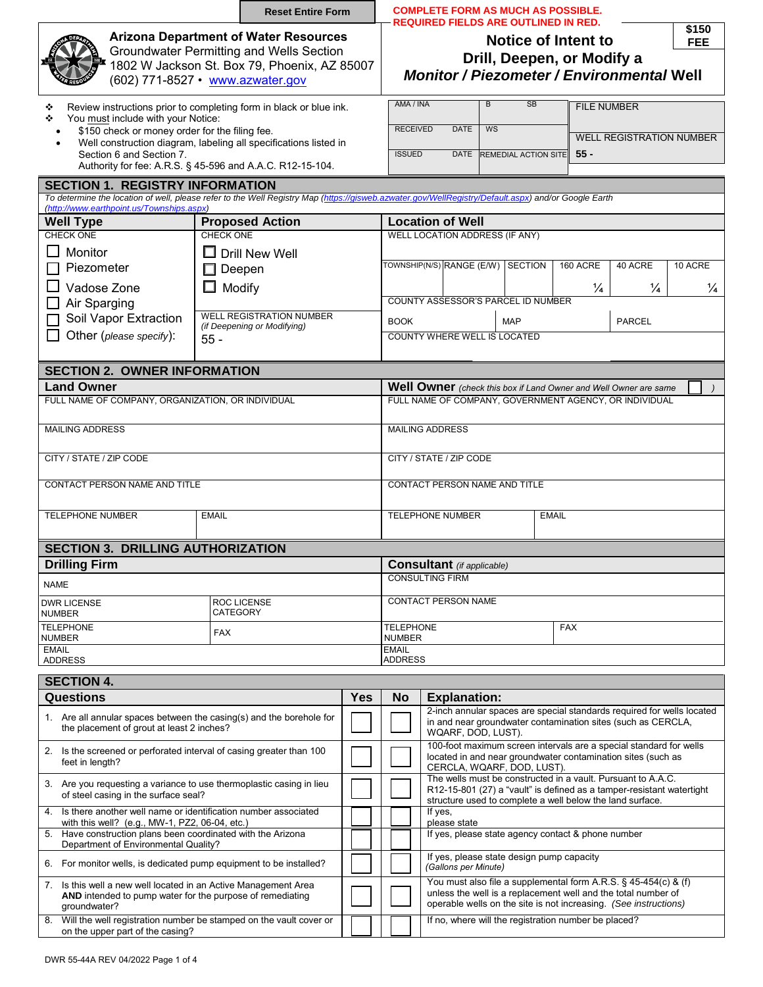|                                                                                                                                                                                                             | <b>Reset Entire Form</b>                                                                                                     |                                                                                                                                                                  | <b>COMPLETE FORM AS MUCH AS POSSIBLE.</b><br><b>REQUIRED FIELDS ARE OUTLINED IN RED</b>                                                                                                            |                                                                                                                                                                                                      |                                           |                    |               |               |         |  |  |  |  |  |  |  |  |
|-------------------------------------------------------------------------------------------------------------------------------------------------------------------------------------------------------------|------------------------------------------------------------------------------------------------------------------------------|------------------------------------------------------------------------------------------------------------------------------------------------------------------|----------------------------------------------------------------------------------------------------------------------------------------------------------------------------------------------------|------------------------------------------------------------------------------------------------------------------------------------------------------------------------------------------------------|-------------------------------------------|--------------------|---------------|---------------|---------|--|--|--|--|--|--|--|--|
| <b>Arizona Department of Water Resources</b><br><b>Groundwater Permitting and Wells Section</b><br>1802 W Jackson St. Box 79, Phoenix, AZ 85007<br>(602) 771-8527 • www.azwater.gov                         | \$150<br>Notice of Intent to<br><b>FEE</b><br>Drill, Deepen, or Modify a<br><b>Monitor / Piezometer / Environmental Well</b> |                                                                                                                                                                  |                                                                                                                                                                                                    |                                                                                                                                                                                                      |                                           |                    |               |               |         |  |  |  |  |  |  |  |  |
| Review instructions prior to completing form in black or blue ink.<br>❖<br>You must include with your Notice:<br>❖                                                                                          |                                                                                                                              | AMA / INA                                                                                                                                                        |                                                                                                                                                                                                    | B<br><b>SB</b>                                                                                                                                                                                       |                                           | <b>FILE NUMBER</b> |               |               |         |  |  |  |  |  |  |  |  |
| \$150 check or money order for the filing fee.<br>Well construction diagram, labeling all specifications listed in<br>Section 6 and Section 7.<br>Authority for fee: A.R.S. § 45-596 and A.A.C. R12-15-104. |                                                                                                                              |                                                                                                                                                                  | <b>RECEIVED</b><br><b>DATE</b><br><b>WS</b><br><b>WELL REGISTRATION NUMBER</b><br>$55 -$<br><b>ISSUED</b><br><b>DATE</b><br><b>REMEDIAL ACTION SITE</b>                                            |                                                                                                                                                                                                      |                                           |                    |               |               |         |  |  |  |  |  |  |  |  |
| <b>SECTION 1. REGISTRY INFORMATION</b>                                                                                                                                                                      |                                                                                                                              |                                                                                                                                                                  |                                                                                                                                                                                                    |                                                                                                                                                                                                      |                                           |                    |               |               |         |  |  |  |  |  |  |  |  |
| To determine the location of well, please refer to the Well Registry Map (https://gisweb.azwater.gov/WellRegistry/Default.aspx) and/or Google Earth                                                         |                                                                                                                              |                                                                                                                                                                  |                                                                                                                                                                                                    |                                                                                                                                                                                                      |                                           |                    |               |               |         |  |  |  |  |  |  |  |  |
| (http://www.earthpoint.us/Townships.aspx)<br><b>Well Type</b>                                                                                                                                               | <b>Location of Well</b><br><b>Proposed Action</b>                                                                            |                                                                                                                                                                  |                                                                                                                                                                                                    |                                                                                                                                                                                                      |                                           |                    |               |               |         |  |  |  |  |  |  |  |  |
| <b>CHECK ONE</b>                                                                                                                                                                                            | <b>CHECK ONE</b>                                                                                                             |                                                                                                                                                                  |                                                                                                                                                                                                    | <b>WELL LOCATION ADDRESS (IF ANY)</b>                                                                                                                                                                |                                           |                    |               |               |         |  |  |  |  |  |  |  |  |
| Monitor                                                                                                                                                                                                     | $\square$ Drill New Well                                                                                                     |                                                                                                                                                                  |                                                                                                                                                                                                    | TOWNSHIP(N/S) RANGE (E/W)                                                                                                                                                                            | <b>SECTION</b>                            |                    | 160 ACRE      | 40 ACRE       | 10 ACRE |  |  |  |  |  |  |  |  |
| Piezometer                                                                                                                                                                                                  | $\Box$ Deepen                                                                                                                |                                                                                                                                                                  |                                                                                                                                                                                                    |                                                                                                                                                                                                      |                                           |                    | $\frac{1}{4}$ |               |         |  |  |  |  |  |  |  |  |
| Vadose Zone                                                                                                                                                                                                 | $\Box$ Modify                                                                                                                |                                                                                                                                                                  |                                                                                                                                                                                                    | COUNTY ASSESSOR'S PARCEL ID NUMBER                                                                                                                                                                   | $\frac{1}{4}$                             | $\frac{1}{4}$      |               |               |         |  |  |  |  |  |  |  |  |
| Air Sparging<br>Soil Vapor Extraction                                                                                                                                                                       | <b>WELL REGISTRATION NUMBER</b>                                                                                              |                                                                                                                                                                  |                                                                                                                                                                                                    |                                                                                                                                                                                                      |                                           |                    |               |               |         |  |  |  |  |  |  |  |  |
| Other (please specify):                                                                                                                                                                                     | (if Deepening or Modifying)                                                                                                  |                                                                                                                                                                  | <b>BOOK</b>                                                                                                                                                                                        |                                                                                                                                                                                                      | <b>MAP</b>                                |                    |               | <b>PARCEL</b> |         |  |  |  |  |  |  |  |  |
| $55 -$                                                                                                                                                                                                      |                                                                                                                              | COUNTY WHERE WELL IS LOCATED                                                                                                                                     |                                                                                                                                                                                                    |                                                                                                                                                                                                      |                                           |                    |               |               |         |  |  |  |  |  |  |  |  |
| <b>SECTION 2. OWNER INFORMATION</b>                                                                                                                                                                         |                                                                                                                              |                                                                                                                                                                  |                                                                                                                                                                                                    |                                                                                                                                                                                                      |                                           |                    |               |               |         |  |  |  |  |  |  |  |  |
| <b>Land Owner</b>                                                                                                                                                                                           |                                                                                                                              |                                                                                                                                                                  | Well Owner (check this box if Land Owner and Well Owner are same                                                                                                                                   |                                                                                                                                                                                                      |                                           |                    |               |               |         |  |  |  |  |  |  |  |  |
| FULL NAME OF COMPANY, ORGANIZATION, OR INDIVIDUAL                                                                                                                                                           | FULL NAME OF COMPANY, GOVERNMENT AGENCY, OR INDIVIDUAL                                                                       |                                                                                                                                                                  |                                                                                                                                                                                                    |                                                                                                                                                                                                      |                                           |                    |               |               |         |  |  |  |  |  |  |  |  |
| <b>MAILING ADDRESS</b>                                                                                                                                                                                      |                                                                                                                              |                                                                                                                                                                  | <b>MAILING ADDRESS</b>                                                                                                                                                                             |                                                                                                                                                                                                      |                                           |                    |               |               |         |  |  |  |  |  |  |  |  |
| CITY / STATE / ZIP CODE                                                                                                                                                                                     | CITY / STATE / ZIP CODE                                                                                                      |                                                                                                                                                                  |                                                                                                                                                                                                    |                                                                                                                                                                                                      |                                           |                    |               |               |         |  |  |  |  |  |  |  |  |
| CONTACT PERSON NAME AND TITLE                                                                                                                                                                               |                                                                                                                              | CONTACT PERSON NAME AND TITLE                                                                                                                                    |                                                                                                                                                                                                    |                                                                                                                                                                                                      |                                           |                    |               |               |         |  |  |  |  |  |  |  |  |
| <b>TELEPHONE NUMBER</b><br><b>EMAIL</b>                                                                                                                                                                     |                                                                                                                              |                                                                                                                                                                  |                                                                                                                                                                                                    | <b>TELEPHONE NUMBER</b><br><b>EMAIL</b>                                                                                                                                                              |                                           |                    |               |               |         |  |  |  |  |  |  |  |  |
| <b>SECTION 3. DRILLING AUTHORIZATION</b>                                                                                                                                                                    |                                                                                                                              |                                                                                                                                                                  |                                                                                                                                                                                                    |                                                                                                                                                                                                      |                                           |                    |               |               |         |  |  |  |  |  |  |  |  |
| <b>Drilling Firm</b>                                                                                                                                                                                        |                                                                                                                              |                                                                                                                                                                  | <b>Consultant</b> (if applicable)                                                                                                                                                                  |                                                                                                                                                                                                      |                                           |                    |               |               |         |  |  |  |  |  |  |  |  |
| <b>NAME</b>                                                                                                                                                                                                 |                                                                                                                              |                                                                                                                                                                  | <b>CONSULTING FIRM</b>                                                                                                                                                                             |                                                                                                                                                                                                      |                                           |                    |               |               |         |  |  |  |  |  |  |  |  |
| <b>DWR LICENSE</b><br><b>NUMBER</b>                                                                                                                                                                         | ROC LICENSE<br><b>CATEGORY</b>                                                                                               |                                                                                                                                                                  | <b>CONTACT PERSON NAME</b>                                                                                                                                                                         |                                                                                                                                                                                                      |                                           |                    |               |               |         |  |  |  |  |  |  |  |  |
| <b>TELEPHONE</b><br><b>NUMBER</b>                                                                                                                                                                           | <b>FAX</b>                                                                                                                   |                                                                                                                                                                  | <b>TELEPHONE</b><br><b>NUMBER</b>                                                                                                                                                                  |                                                                                                                                                                                                      |                                           |                    |               |               |         |  |  |  |  |  |  |  |  |
| <b>EMAIL</b><br><b>ADDRESS</b>                                                                                                                                                                              |                                                                                                                              |                                                                                                                                                                  | <b>EMAIL</b><br><b>ADDRESS</b>                                                                                                                                                                     |                                                                                                                                                                                                      |                                           |                    |               |               |         |  |  |  |  |  |  |  |  |
| <b>SECTION 4.</b>                                                                                                                                                                                           |                                                                                                                              |                                                                                                                                                                  |                                                                                                                                                                                                    |                                                                                                                                                                                                      |                                           |                    |               |               |         |  |  |  |  |  |  |  |  |
| <b>Questions</b>                                                                                                                                                                                            |                                                                                                                              | Yes                                                                                                                                                              | No                                                                                                                                                                                                 | <b>Explanation:</b>                                                                                                                                                                                  |                                           |                    |               |               |         |  |  |  |  |  |  |  |  |
| 1. Are all annular spaces between the casing(s) and the borehole for<br>the placement of grout at least 2 inches?                                                                                           |                                                                                                                              | 2-inch annular spaces are special standards required for wells located<br>in and near groundwater contamination sites (such as CERCLA,<br>WQARF, DOD, LUST).     |                                                                                                                                                                                                    |                                                                                                                                                                                                      |                                           |                    |               |               |         |  |  |  |  |  |  |  |  |
| 2. Is the screened or perforated interval of casing greater than 100<br>feet in length?                                                                                                                     |                                                                                                                              | 100-foot maximum screen intervals are a special standard for wells<br>located in and near groundwater contamination sites (such as<br>CERCLA, WQARF, DOD, LUST). |                                                                                                                                                                                                    |                                                                                                                                                                                                      |                                           |                    |               |               |         |  |  |  |  |  |  |  |  |
| 3. Are you requesting a variance to use thermoplastic casing in lieu<br>of steel casing in the surface seal?                                                                                                |                                                                                                                              |                                                                                                                                                                  | The wells must be constructed in a vault. Pursuant to A.A.C.<br>R12-15-801 (27) a "vault" is defined as a tamper-resistant watertight<br>structure used to complete a well below the land surface. |                                                                                                                                                                                                      |                                           |                    |               |               |         |  |  |  |  |  |  |  |  |
| Is there another well name or identification number associated<br>4.<br>with this well? (e.g., MW-1, PZ2, 06-04, etc.)                                                                                      |                                                                                                                              |                                                                                                                                                                  | If yes,<br>please state<br>If yes, please state agency contact & phone number                                                                                                                      |                                                                                                                                                                                                      |                                           |                    |               |               |         |  |  |  |  |  |  |  |  |
| 5. Have construction plans been coordinated with the Arizona<br>Department of Environmental Quality?                                                                                                        |                                                                                                                              |                                                                                                                                                                  |                                                                                                                                                                                                    |                                                                                                                                                                                                      |                                           |                    |               |               |         |  |  |  |  |  |  |  |  |
| 6. For monitor wells, is dedicated pump equipment to be installed?                                                                                                                                          |                                                                                                                              |                                                                                                                                                                  |                                                                                                                                                                                                    | (Gallons per Minute)                                                                                                                                                                                 | If yes, please state design pump capacity |                    |               |               |         |  |  |  |  |  |  |  |  |
| 7. Is this well a new well located in an Active Management Area<br><b>AND</b> intended to pump water for the purpose of remediating<br>groundwater?                                                         |                                                                                                                              |                                                                                                                                                                  |                                                                                                                                                                                                    | You must also file a supplemental form A.R.S. § 45-454(c) & (f)<br>unless the well is a replacement well and the total number of<br>operable wells on the site is not increasing. (See instructions) |                                           |                    |               |               |         |  |  |  |  |  |  |  |  |
| 8. Will the well registration number be stamped on the vault cover or<br>on the upper part of the casing?                                                                                                   |                                                                                                                              |                                                                                                                                                                  | If no, where will the registration number be placed?                                                                                                                                               |                                                                                                                                                                                                      |                                           |                    |               |               |         |  |  |  |  |  |  |  |  |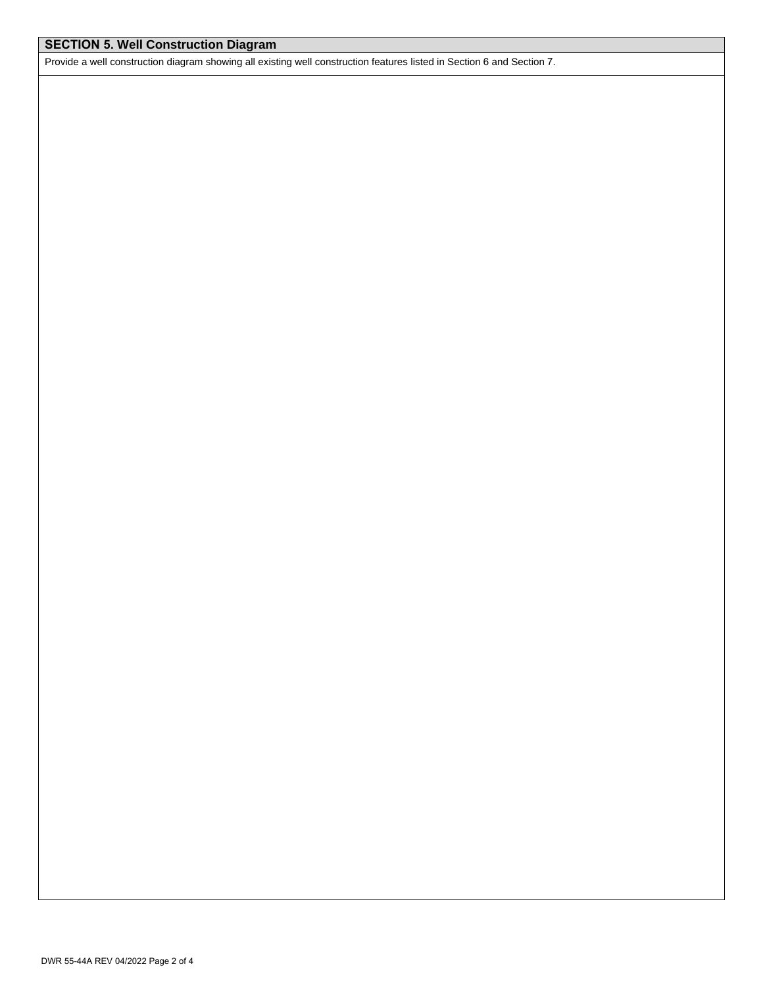## **SECTION 5. Well Construction Diagram**

Provide a well construction diagram showing all existing well construction features listed in Section 6 and Section 7.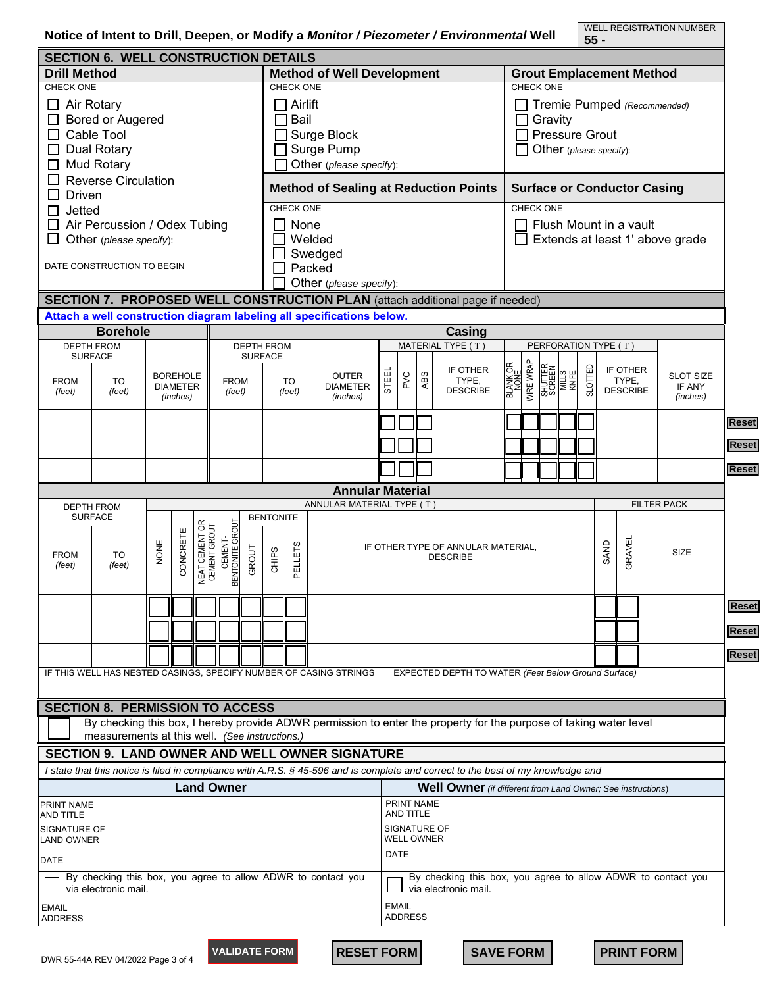WELL REGISTRATION NUMBER **55 -**

| <b>SECTION 6. WELL CONSTRUCTION DETAILS</b><br><b>Method of Well Development</b><br><b>Drill Method</b> |                                                |                          |                                |                            |                       |                   |                                              |                                |                                                                       |                                    |     | <b>Grout Emplacement Method</b> |                                                                                                                                  |                                 |                         |                                    |                                     |        |                       |      |                   |  |                    |              |  |  |
|---------------------------------------------------------------------------------------------------------|------------------------------------------------|--------------------------|--------------------------------|----------------------------|-----------------------|-------------------|----------------------------------------------|--------------------------------|-----------------------------------------------------------------------|------------------------------------|-----|---------------------------------|----------------------------------------------------------------------------------------------------------------------------------|---------------------------------|-------------------------|------------------------------------|-------------------------------------|--------|-----------------------|------|-------------------|--|--------------------|--------------|--|--|
| <b>CHECK ONE</b>                                                                                        |                                                |                          |                                |                            |                       |                   |                                              | <b>CHECK ONE</b>               |                                                                       |                                    |     |                                 |                                                                                                                                  | <b>CHECK ONE</b>                |                         |                                    |                                     |        |                       |      |                   |  |                    |              |  |  |
| $\Box$ Air Rotary                                                                                       |                                                |                          |                                |                            |                       |                   |                                              | $\exists$ Airlift              |                                                                       |                                    |     | Tremie Pumped (Recommended)     |                                                                                                                                  |                                 |                         |                                    |                                     |        |                       |      |                   |  |                    |              |  |  |
|                                                                                                         |                                                | Bored or Augered<br>Bail |                                |                            |                       |                   |                                              |                                |                                                                       |                                    |     | Gravity                         |                                                                                                                                  |                                 |                         |                                    |                                     |        |                       |      |                   |  |                    |              |  |  |
| $\Box$                                                                                                  | Cable Tool<br>$\Box$ Surge Block               |                          |                                |                            |                       |                   |                                              |                                |                                                                       |                                    |     |                                 |                                                                                                                                  |                                 |                         |                                    |                                     |        | <b>Pressure Grout</b> |      |                   |  |                    |              |  |  |
| Surge Pump<br>$\Box$ Dual Rotary                                                                        |                                                |                          |                                |                            |                       |                   |                                              |                                |                                                                       |                                    |     |                                 |                                                                                                                                  |                                 | Other (please specify): |                                    |                                     |        |                       |      |                   |  |                    |              |  |  |
| $\Box$ Mud Rotary<br>Other (please specify):                                                            |                                                |                          |                                |                            |                       |                   |                                              |                                |                                                                       |                                    |     |                                 |                                                                                                                                  |                                 |                         |                                    |                                     |        |                       |      |                   |  |                    |              |  |  |
| $\Box$                                                                                                  | <b>Reverse Circulation</b>                     |                          |                                |                            |                       |                   |                                              |                                |                                                                       |                                    |     |                                 |                                                                                                                                  |                                 |                         | <b>Surface or Conductor Casing</b> |                                     |        |                       |      |                   |  |                    |              |  |  |
| $\Box$ Driven                                                                                           |                                                |                          |                                |                            |                       |                   | <b>Method of Sealing at Reduction Points</b> |                                |                                                                       |                                    |     |                                 |                                                                                                                                  |                                 |                         | <b>CHECK ONE</b>                   |                                     |        |                       |      |                   |  |                    |              |  |  |
| $\Box$ Jetted                                                                                           |                                                |                          |                                |                            |                       |                   | CHECK ONE                                    |                                |                                                                       |                                    |     |                                 |                                                                                                                                  |                                 |                         |                                    |                                     |        |                       |      |                   |  |                    |              |  |  |
|                                                                                                         | $\Box$ Air Percussion / Odex Tubing            |                          |                                |                            |                       |                   |                                              | None<br>$\mathbf{J}$           |                                                                       |                                    |     |                                 |                                                                                                                                  | Flush Mount in a vault          |                         |                                    |                                     |        |                       |      |                   |  |                    |              |  |  |
| □                                                                                                       | Other (please specify):                        |                          |                                |                            |                       |                   |                                              | Welded                         |                                                                       |                                    |     |                                 |                                                                                                                                  | Extends at least 1' above grade |                         |                                    |                                     |        |                       |      |                   |  |                    |              |  |  |
|                                                                                                         |                                                |                          |                                |                            |                       |                   |                                              |                                | Swedged                                                               |                                    |     |                                 |                                                                                                                                  |                                 |                         |                                    |                                     |        |                       |      |                   |  |                    |              |  |  |
|                                                                                                         | DATE CONSTRUCTION TO BEGIN                     |                          |                                |                            |                       |                   |                                              | Packed                         |                                                                       |                                    |     |                                 |                                                                                                                                  |                                 |                         |                                    |                                     |        |                       |      |                   |  |                    |              |  |  |
|                                                                                                         |                                                |                          |                                |                            |                       |                   |                                              |                                | Other (please specify):                                               |                                    |     |                                 |                                                                                                                                  |                                 |                         |                                    |                                     |        |                       |      |                   |  |                    |              |  |  |
|                                                                                                         |                                                |                          |                                |                            |                       |                   |                                              |                                |                                                                       |                                    |     |                                 | SECTION 7. PROPOSED WELL CONSTRUCTION PLAN (attach additional page if needed)                                                    |                                 |                         |                                    |                                     |        |                       |      |                   |  |                    |              |  |  |
|                                                                                                         | <b>Borehole</b>                                |                          |                                |                            |                       |                   |                                              |                                | Attach a well construction diagram labeling all specifications below. |                                    |     |                                 | Casing                                                                                                                           |                                 |                         |                                    |                                     |        |                       |      |                   |  |                    |              |  |  |
|                                                                                                         | <b>DEPTH FROM</b>                              |                          |                                |                            |                       | <b>DEPTH FROM</b> |                                              |                                |                                                                       |                                    |     |                                 | MATERIAL TYPE (T)                                                                                                                | PERFORATION TYPE (T)            |                         |                                    |                                     |        |                       |      |                   |  |                    |              |  |  |
|                                                                                                         | <b>SURFACE</b>                                 |                          |                                |                            |                       |                   | <b>SURFACE</b>                               |                                |                                                                       |                                    |     |                                 |                                                                                                                                  |                                 |                         |                                    |                                     |        |                       |      |                   |  |                    |              |  |  |
|                                                                                                         | <b>BOREHOLE</b>                                |                          |                                |                            |                       |                   |                                              |                                | <b>OUTER</b>                                                          |                                    | PVC | <b>ABS</b>                      | IF OTHER<br>TYPE,                                                                                                                |                                 | WIRE WRAP               |                                    | SHUTTER<br>SCREEN<br>MILLS<br>KNIFE |        | SLOTTED               |      | IF OTHER<br>TYPE, |  | <b>SLOT SIZE</b>   |              |  |  |
| <b>FROM</b><br>(feet)                                                                                   | TO<br>(feet)                                   |                          | <b>DIAMETER</b>                |                            | <b>FROM</b><br>(feet) |                   | TO<br>(feet)                                 |                                | <b>DIAMETER</b>                                                       | STEEL                              |     |                                 | <b>DESCRIBE</b>                                                                                                                  | <b>BLANK OR</b><br>BLANK OR     |                         |                                    |                                     |        |                       |      | <b>DESCRIBE</b>   |  | IF ANY             |              |  |  |
|                                                                                                         |                                                |                          | (inches)                       |                            |                       |                   |                                              |                                | (inches)                                                              |                                    |     |                                 |                                                                                                                                  |                                 |                         |                                    |                                     |        |                       |      |                   |  | (inches)           |              |  |  |
|                                                                                                         |                                                |                          |                                |                            |                       |                   |                                              |                                |                                                                       |                                    |     |                                 |                                                                                                                                  |                                 |                         |                                    |                                     |        |                       |      |                   |  |                    | <b>Reset</b> |  |  |
|                                                                                                         |                                                |                          |                                |                            |                       |                   |                                              |                                |                                                                       |                                    |     |                                 |                                                                                                                                  |                                 |                         |                                    |                                     |        |                       |      |                   |  |                    | <b>Reset</b> |  |  |
|                                                                                                         |                                                |                          |                                |                            |                       |                   |                                              |                                |                                                                       |                                    |     |                                 |                                                                                                                                  |                                 |                         |                                    |                                     |        |                       |      |                   |  |                    |              |  |  |
|                                                                                                         |                                                |                          |                                |                            |                       |                   |                                              |                                |                                                                       |                                    |     |                                 |                                                                                                                                  |                                 |                         |                                    |                                     |        |                       |      |                   |  |                    | <b>Reset</b> |  |  |
|                                                                                                         |                                                |                          |                                |                            |                       |                   |                                              |                                | <b>Annular Material</b>                                               |                                    |     |                                 |                                                                                                                                  |                                 |                         |                                    |                                     |        |                       |      |                   |  |                    |              |  |  |
|                                                                                                         | <b>DEPTH FROM</b>                              |                          |                                |                            |                       |                   |                                              |                                | ANNULAR MATERIAL TYPE (T)                                             |                                    |     |                                 |                                                                                                                                  |                                 |                         |                                    |                                     |        |                       |      |                   |  | <b>FILTER PACK</b> |              |  |  |
|                                                                                                         | <b>SURFACE</b>                                 |                          |                                |                            |                       |                   | <b>BENTONITE</b>                             |                                |                                                                       |                                    |     |                                 |                                                                                                                                  |                                 |                         |                                    |                                     |        |                       |      |                   |  |                    |              |  |  |
|                                                                                                         |                                                |                          | NEAT CEMENT OR<br>CEMENT GROUT | CEMENT-<br>BENTONITE GROUT |                       |                   |                                              |                                |                                                                       |                                    |     |                                 |                                                                                                                                  |                                 |                         |                                    |                                     |        |                       |      |                   |  |                    |              |  |  |
| <b>FROM</b>                                                                                             | TO                                             |                          | CONCRETE<br>NONE               |                            |                       |                   | CHIPS                                        | <b>ELLETS</b>                  |                                                                       | IF OTHER TYPE OF ANNULAR MATERIAL, |     |                                 | <b>DESCRIBE</b>                                                                                                                  |                                 |                         |                                    | <b>GAND</b>                         | GRAVEL |                       | SIZE |                   |  |                    |              |  |  |
| (feet)                                                                                                  | (feet)                                         |                          |                                |                            |                       | GROUT             |                                              | $\overline{\mathtt{a}}$        |                                                                       |                                    |     |                                 |                                                                                                                                  |                                 |                         |                                    |                                     |        |                       |      |                   |  |                    |              |  |  |
|                                                                                                         |                                                |                          |                                |                            |                       |                   |                                              |                                |                                                                       |                                    |     |                                 |                                                                                                                                  |                                 |                         |                                    |                                     |        |                       |      |                   |  |                    |              |  |  |
|                                                                                                         |                                                |                          |                                |                            |                       |                   |                                              |                                |                                                                       |                                    |     |                                 |                                                                                                                                  |                                 |                         |                                    |                                     |        |                       |      |                   |  |                    | <b>Reset</b> |  |  |
|                                                                                                         |                                                |                          |                                |                            |                       |                   |                                              |                                |                                                                       |                                    |     |                                 |                                                                                                                                  |                                 |                         |                                    |                                     |        |                       |      |                   |  |                    |              |  |  |
|                                                                                                         |                                                |                          |                                |                            |                       |                   |                                              |                                |                                                                       |                                    |     |                                 |                                                                                                                                  |                                 |                         |                                    |                                     |        |                       |      |                   |  |                    | <b>Reset</b> |  |  |
|                                                                                                         |                                                |                          |                                |                            |                       |                   |                                              |                                |                                                                       |                                    |     |                                 |                                                                                                                                  |                                 |                         |                                    |                                     |        |                       |      |                   |  |                    | <b>Reset</b> |  |  |
|                                                                                                         |                                                |                          |                                |                            |                       |                   |                                              |                                | IF THIS WELL HAS NESTED CASINGS, SPECIFY NUMBER OF CASING STRINGS     |                                    |     |                                 | EXPECTED DEPTH TO WATER (Feet Below Ground Surface)                                                                              |                                 |                         |                                    |                                     |        |                       |      |                   |  |                    |              |  |  |
|                                                                                                         |                                                |                          |                                |                            |                       |                   |                                              |                                |                                                                       |                                    |     |                                 |                                                                                                                                  |                                 |                         |                                    |                                     |        |                       |      |                   |  |                    |              |  |  |
|                                                                                                         | <b>SECTION 8. PERMISSION TO ACCESS</b>         |                          |                                |                            |                       |                   |                                              |                                |                                                                       |                                    |     |                                 |                                                                                                                                  |                                 |                         |                                    |                                     |        |                       |      |                   |  |                    |              |  |  |
|                                                                                                         |                                                |                          |                                |                            |                       |                   |                                              |                                |                                                                       |                                    |     |                                 | By checking this box, I hereby provide ADWR permission to enter the property for the purpose of taking water level               |                                 |                         |                                    |                                     |        |                       |      |                   |  |                    |              |  |  |
|                                                                                                         | measurements at this well. (See instructions.) |                          |                                |                            |                       |                   |                                              |                                |                                                                       |                                    |     |                                 |                                                                                                                                  |                                 |                         |                                    |                                     |        |                       |      |                   |  |                    |              |  |  |
|                                                                                                         |                                                |                          |                                |                            |                       |                   |                                              |                                | SECTION 9. LAND OWNER AND WELL OWNER SIGNATURE                        |                                    |     |                                 |                                                                                                                                  |                                 |                         |                                    |                                     |        |                       |      |                   |  |                    |              |  |  |
|                                                                                                         |                                                |                          |                                |                            |                       |                   |                                              |                                |                                                                       |                                    |     |                                 | I state that this notice is filed in compliance with A.R.S. § 45-596 and is complete and correct to the best of my knowledge and |                                 |                         |                                    |                                     |        |                       |      |                   |  |                    |              |  |  |
|                                                                                                         |                                                |                          |                                | <b>Land Owner</b>          |                       |                   |                                              |                                |                                                                       |                                    |     |                                 | <b>Well Owner</b> (if different from Land Owner; See instructions)                                                               |                                 |                         |                                    |                                     |        |                       |      |                   |  |                    |              |  |  |
| <b>PRINT NAME</b>                                                                                       |                                                |                          |                                |                            |                       |                   |                                              |                                |                                                                       |                                    |     |                                 |                                                                                                                                  |                                 |                         |                                    |                                     |        |                       |      |                   |  |                    |              |  |  |
| AND TITLE                                                                                               |                                                |                          |                                |                            |                       |                   |                                              |                                | PRINT NAME<br>AND TITLE                                               |                                    |     |                                 |                                                                                                                                  |                                 |                         |                                    |                                     |        |                       |      |                   |  |                    |              |  |  |
| <b>SIGNATURE OF</b>                                                                                     |                                                |                          |                                |                            |                       |                   |                                              | SIGNATURE OF                   |                                                                       |                                    |     |                                 |                                                                                                                                  |                                 |                         |                                    |                                     |        |                       |      |                   |  |                    |              |  |  |
| <b>LAND OWNER</b>                                                                                       |                                                |                          |                                |                            |                       |                   |                                              | <b>WELL OWNER</b>              |                                                                       |                                    |     |                                 |                                                                                                                                  |                                 |                         |                                    |                                     |        |                       |      |                   |  |                    |              |  |  |
| <b>DATE</b>                                                                                             |                                                |                          |                                |                            |                       |                   |                                              |                                | <b>DATE</b>                                                           |                                    |     |                                 |                                                                                                                                  |                                 |                         |                                    |                                     |        |                       |      |                   |  |                    |              |  |  |
| By checking this box, you agree to allow ADWR to contact you                                            |                                                |                          |                                |                            |                       |                   |                                              |                                | By checking this box, you agree to allow ADWR to contact you          |                                    |     |                                 |                                                                                                                                  |                                 |                         |                                    |                                     |        |                       |      |                   |  |                    |              |  |  |
| via electronic mail.                                                                                    |                                                |                          |                                |                            |                       |                   |                                              | via electronic mail.           |                                                                       |                                    |     |                                 |                                                                                                                                  |                                 |                         |                                    |                                     |        |                       |      |                   |  |                    |              |  |  |
| <b>EMAIL</b><br><b>ADDRESS</b>                                                                          |                                                |                          |                                |                            |                       |                   |                                              | <b>EMAIL</b><br><b>ADDRESS</b> |                                                                       |                                    |     |                                 |                                                                                                                                  |                                 |                         |                                    |                                     |        |                       |      |                   |  |                    |              |  |  |
|                                                                                                         |                                                |                          |                                |                            |                       |                   |                                              |                                |                                                                       |                                    |     |                                 |                                                                                                                                  |                                 |                         |                                    |                                     |        |                       |      |                   |  |                    |              |  |  |
|                                                                                                         |                                                |                          |                                |                            |                       |                   |                                              |                                |                                                                       |                                    |     |                                 |                                                                                                                                  |                                 |                         |                                    |                                     |        |                       |      |                   |  |                    |              |  |  |
|                                                                                                         | DWR 55-44A REV 04/2022 Page 3 of 4             |                          |                                |                            | <b>VALIDATE FORM</b>  |                   |                                              |                                | <b>RESET FORM</b>                                                     |                                    |     |                                 | <b>SAVE FORM</b>                                                                                                                 |                                 |                         |                                    |                                     |        |                       |      |                   |  | <b>PRINT FORM</b>  |              |  |  |